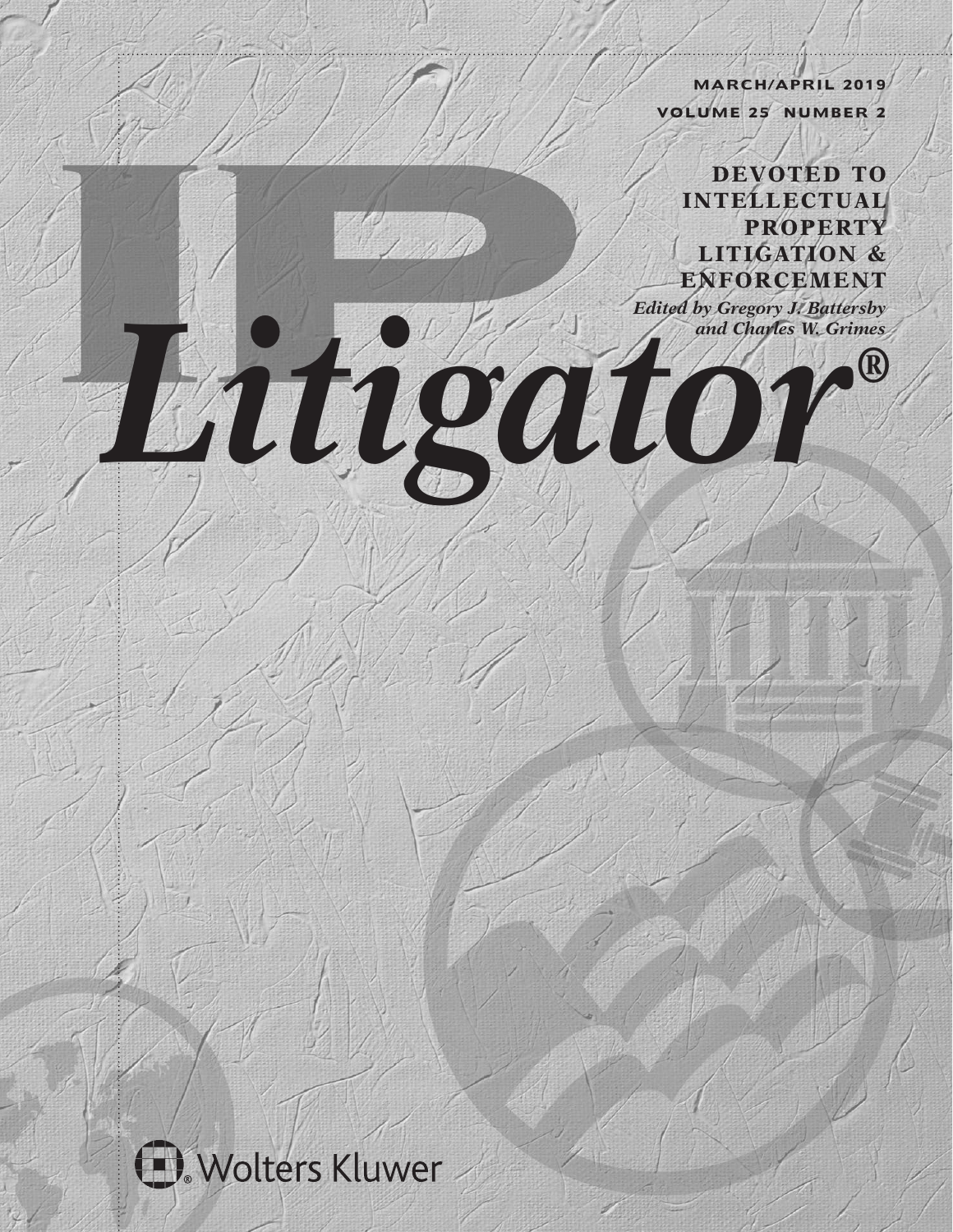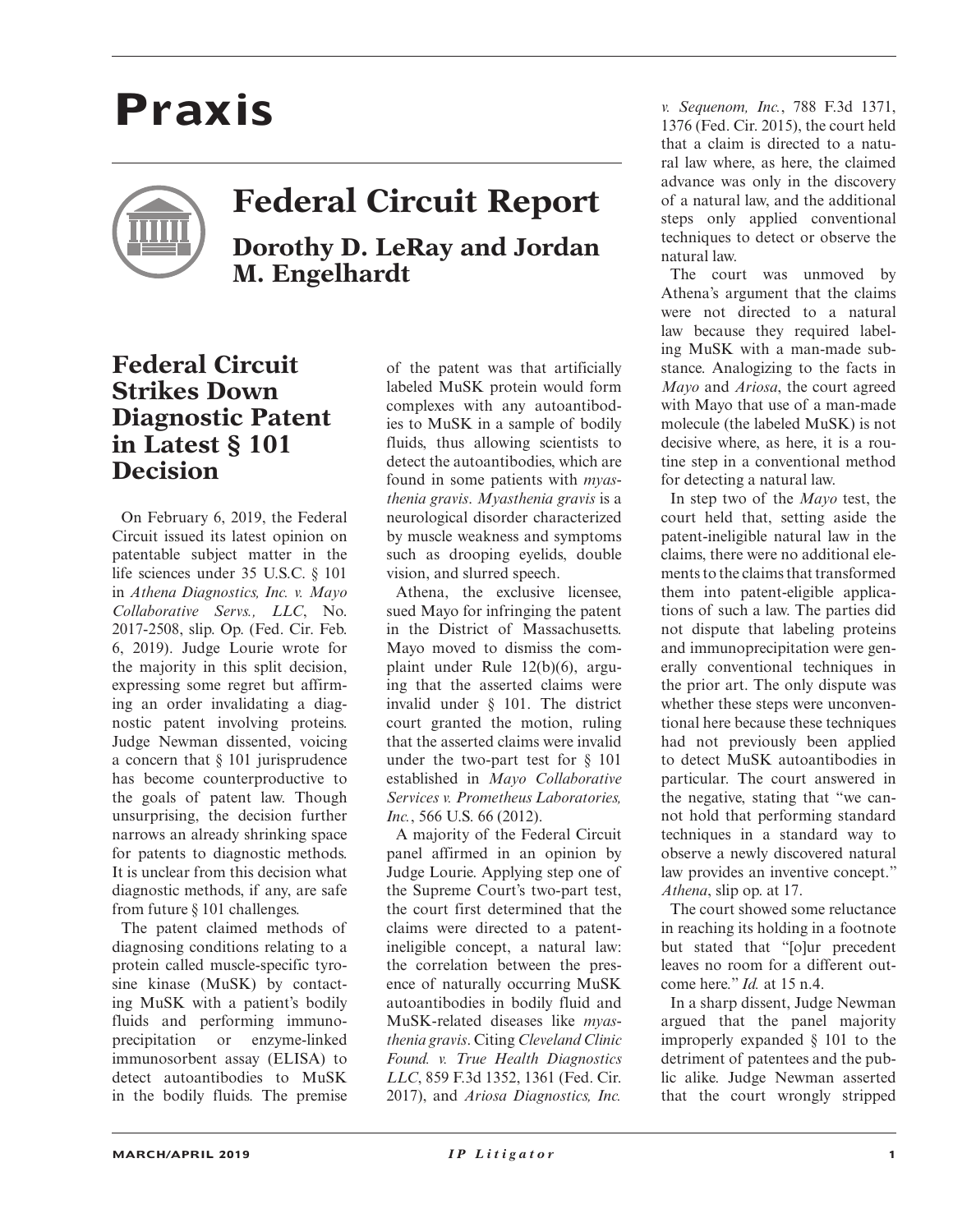## **Praxis**

## **Federal Circuit Report**

**Dorothy D. LeRay and Jordan M. Engelhardt**

## **Federal Circuit Strikes Down Diagnostic Patent in Latest § 101 Decision**

On February 6, 2019, the Federal Circuit issued its latest opinion on patentable subject matter in the life sciences under 35 U.S.C. § 101 in *Athena Diagnostics, Inc. v. Mayo Collaborative Servs., LLC*, No. 2017-2508, slip. Op. (Fed. Cir. Feb. 6, 2019). Judge Lourie wrote for the majority in this split decision, expressing some regret but affirming an order invalidating a diagnostic patent involving proteins. Judge Newman dissented, voicing a concern that § 101 jurisprudence has become counterproductive to the goals of patent law. Though unsurprising, the decision further narrows an already shrinking space for patents to diagnostic methods. It is unclear from this decision what diagnostic methods, if any, are safe from future § 101 challenges.

The patent claimed methods of diagnosing conditions relating to a protein called muscle-specific tyrosine kinase (MuSK) by contacting MuSK with a patient's bodily fluids and performing immunoprecipitation or enzyme-linked immunosorbent assay (ELISA) to detect autoantibodies to MuSK in the bodily fluids. The premise

of the patent was that artificially labeled MuSK protein would form complexes with any autoantibodies to MuSK in a sample of bodily fluids, thus allowing scientists to detect the autoantibodies, which are found in some patients with *myasthenia gravis*. *Myasthenia gravis* is a neurological disorder characterized by muscle weakness and symptoms such as drooping eyelids, double vision, and slurred speech.

Athena, the exclusive licensee, sued Mayo for infringing the patent in the District of Massachusetts. Mayo moved to dismiss the complaint under Rule 12(b)(6), arguing that the asserted claims were invalid under § 101. The district court granted the motion, ruling that the asserted claims were invalid under the two-part test for § 101 established in *Mayo Collaborative Services v. Prometheus Laboratories, Inc.*, 566 U.S. 66 (2012).

A majority of the Federal Circuit panel affirmed in an opinion by Judge Lourie. Applying step one of the Supreme Court's two-part test, the court first determined that the claims were directed to a patentineligible concept, a natural law: the correlation between the presence of naturally occurring MuSK autoantibodies in bodily fluid and MuSK-related diseases like *myasthenia gravis*. Citing *Cleveland Clinic Found. v. True Health Diagnostics LLC*, 859 F.3d 1352, 1361 (Fed. Cir. 2017), and *Ariosa Diagnostics, Inc.* 

*v. Sequenom, Inc.*, 788 F.3d 1371, 1376 (Fed. Cir. 2015), the court held that a claim is directed to a natural law where, as here, the claimed advance was only in the discovery of a natural law, and the additional steps only applied conventional techniques to detect or observe the natural law.

The court was unmoved by Athena's argument that the claims were not directed to a natural law because they required labeling MuSK with a man-made substance. Analogizing to the facts in *Mayo* and *Ariosa*, the court agreed with Mayo that use of a man-made molecule (the labeled MuSK) is not decisive where, as here, it is a routine step in a conventional method for detecting a natural law.

In step two of the *Mayo* test, the court held that, setting aside the patent-ineligible natural law in the claims, there were no additional elements to the claims that transformed them into patent-eligible applications of such a law. The parties did not dispute that labeling proteins and immunoprecipitation were generally conventional techniques in the prior art. The only dispute was whether these steps were unconventional here because these techniques had not previously been applied to detect MuSK autoantibodies in particular. The court answered in the negative, stating that "we cannot hold that performing standard techniques in a standard way to observe a newly discovered natural law provides an inventive concept." *Athena*, slip op. at 17.

The court showed some reluctance in reaching its holding in a footnote but stated that "[o]ur precedent leaves no room for a different outcome here." *Id.* at 15 n.4.

In a sharp dissent, Judge Newman argued that the panel majority improperly expanded § 101 to the detriment of patentees and the public alike. Judge Newman asserted that the court wrongly stripped